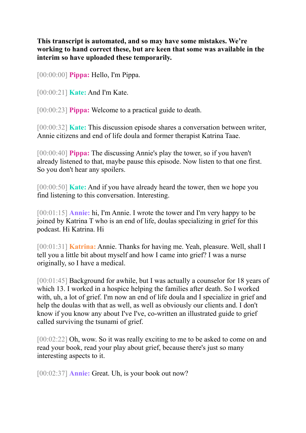**This transcript is automated, and so may have some mistakes. We're working to hand correct these, but are keen that some was available in the interim so have uploaded these temporarily.**

[00:00:00] **Pippa:** Hello, I'm Pippa.

[00:00:21] **Kate:** And I'm Kate.

[00:00:23] **Pippa:** Welcome to a practical guide to death.

[00:00:32] **Kate:** This discussion episode shares a conversation between writer, Annie citizens and end of life doula and former therapist Katrina Taae.

[00:00:40] **Pippa:** The discussing Annie's play the tower, so if you haven't already listened to that, maybe pause this episode. Now listen to that one first. So you don't hear any spoilers.

[00:00:50] **Kate:** And if you have already heard the tower, then we hope you find listening to this conversation. Interesting.

[00:01:15] **Annie:** hi, I'm Annie. I wrote the tower and I'm very happy to be joined by Katrina T who is an end of life, doulas specializing in grief for this podcast. Hi Katrina. Hi

[00:01:31] **Katrina:** Annie. Thanks for having me. Yeah, pleasure. Well, shall I tell you a little bit about myself and how I came into grief? I was a nurse originally, so I have a medical.

[00:01:45] Background for awhile, but I was actually a counselor for 18 years of which 13. I worked in a hospice helping the families after death. So I worked with, uh, a lot of grief. I'm now an end of life doula and I specialize in grief and help the doulas with that as well, as well as obviously our clients and. I don't know if you know any about I've I've, co-written an illustrated guide to grief called surviving the tsunami of grief.

[00:02:22] Oh, wow. So it was really exciting to me to be asked to come on and read your book, read your play about grief, because there's just so many interesting aspects to it.

[00:02:37] **Annie:** Great. Uh, is your book out now?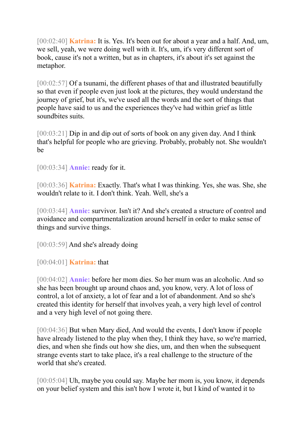[00:02:40] **Katrina:** It is. Yes. It's been out for about a year and a half. And, um, we sell, yeah, we were doing well with it. It's, um, it's very different sort of book, cause it's not a written, but as in chapters, it's about it's set against the metaphor.

[00:02:57] Of a tsunami, the different phases of that and illustrated beautifully so that even if people even just look at the pictures, they would understand the journey of grief, but it's, we've used all the words and the sort of things that people have said to us and the experiences they've had within grief as little soundbites suits.

[00:03:21] Dip in and dip out of sorts of book on any given day. And I think that's helpful for people who are grieving. Probably, probably not. She wouldn't be

[00:03:34] **Annie:** ready for it.

[00:03:36] **Katrina:** Exactly. That's what I was thinking. Yes, she was. She, she wouldn't relate to it. I don't think. Yeah. Well, she's a

[00:03:44] **Annie:** survivor. Isn't it? And she's created a structure of control and avoidance and compartmentalization around herself in order to make sense of things and survive things.

[00:03:59] And she's already doing

[00:04:01] **Katrina:** that

[00:04:02] **Annie:** before her mom dies. So her mum was an alcoholic. And so she has been brought up around chaos and, you know, very. A lot of loss of control, a lot of anxiety, a lot of fear and a lot of abandonment. And so she's created this identity for herself that involves yeah, a very high level of control and a very high level of not going there.

[00:04:36] But when Mary died, And would the events, I don't know if people have already listened to the play when they, I think they have, so we're married, dies, and when she finds out how she dies, um, and then when the subsequent strange events start to take place, it's a real challenge to the structure of the world that she's created.

[00:05:04] Uh, maybe you could say. Maybe her mom is, you know, it depends on your belief system and this isn't how I wrote it, but I kind of wanted it to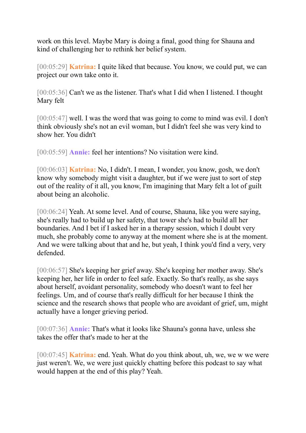work on this level. Maybe Mary is doing a final, good thing for Shauna and kind of challenging her to rethink her belief system.

[00:05:29] **Katrina:** I quite liked that because. You know, we could put, we can project our own take onto it.

[00:05:36] Can't we as the listener. That's what I did when I listened. I thought Mary felt

[00:05:47] well. I was the word that was going to come to mind was evil. I don't think obviously she's not an evil woman, but I didn't feel she was very kind to show her. You didn't

[00:05:59] **Annie:** feel her intentions? No visitation were kind.

[00:06:03] **Katrina:** No, I didn't. I mean, I wonder, you know, gosh, we don't know why somebody might visit a daughter, but if we were just to sort of step out of the reality of it all, you know, I'm imagining that Mary felt a lot of guilt about being an alcoholic.

[00:06:24] Yeah. At some level. And of course, Shauna, like you were saying, she's really had to build up her safety, that tower she's had to build all her boundaries. And I bet if I asked her in a therapy session, which I doubt very much, she probably come to anyway at the moment where she is at the moment. And we were talking about that and he, but yeah, I think you'd find a very, very defended.

[00:06:57] She's keeping her grief away. She's keeping her mother away. She's keeping her, her life in order to feel safe. Exactly. So that's really, as she says about herself, avoidant personality, somebody who doesn't want to feel her feelings. Um, and of course that's really difficult for her because I think the science and the research shows that people who are avoidant of grief, um, might actually have a longer grieving period.

[00:07:36] **Annie:** That's what it looks like Shauna's gonna have, unless she takes the offer that's made to her at the

[00:07:45] **Katrina:** end. Yeah. What do you think about, uh, we, we w we were just weren't. We, we were just quickly chatting before this podcast to say what would happen at the end of this play? Yeah.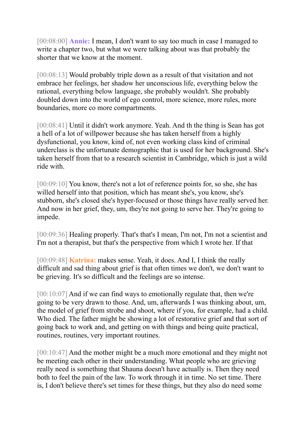[00:08:00] **Annie:** I mean, I don't want to say too much in case I managed to write a chapter two, but what we were talking about was that probably the shorter that we know at the moment.

[00:08:13] Would probably triple down as a result of that visitation and not embrace her feelings, her shadow her unconscious life, everything below the rational, everything below language, she probably wouldn't. She probably doubled down into the world of ego control, more science, more rules, more boundaries, more co more compartments.

[00:08:41] Until it didn't work anymore. Yeah. And th the thing is Sean has got a hell of a lot of willpower because she has taken herself from a highly dysfunctional, you know, kind of, not even working class kind of criminal underclass is the unfortunate demographic that is used for her background. She's taken herself from that to a research scientist in Cambridge, which is just a wild ride with.

[00:09:10] You know, there's not a lot of reference points for, so she, she has willed herself into that position, which has meant she's, you know, she's stubborn, she's closed she's hyper-focused or those things have really served her. And now in her grief, they, um, they're not going to serve her. They're going to impede.

[00:09:36] Healing properly. That's that's I mean, I'm not, I'm not a scientist and I'm not a therapist, but that's the perspective from which I wrote her. If that

[00:09:48] **Katrina:** makes sense. Yeah, it does. And I, I think the really difficult and sad thing about grief is that often times we don't, we don't want to be grieving. It's so difficult and the feelings are so intense.

[00:10:07] And if we can find ways to emotionally regulate that, then we're going to be very drawn to those. And, um, afterwards I was thinking about, um, the model of grief from strobe and shoot, where if you, for example, had a child. Who died. The father might be showing a lot of restorative grief and that sort of going back to work and, and getting on with things and being quite practical, routines, routines, very important routines.

[00:10:47] And the mother might be a much more emotional and they might not be meeting each other in their understanding. What people who are grieving really need is something that Shauna doesn't have actually is. Then they need both to feel the pain of the law. To work through it in time. No set time. There is, I don't believe there's set times for these things, but they also do need some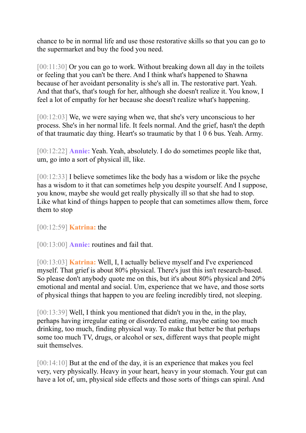chance to be in normal life and use those restorative skills so that you can go to the supermarket and buy the food you need.

[00:11:30] Or you can go to work. Without breaking down all day in the toilets or feeling that you can't be there. And I think what's happened to Shawna because of her avoidant personality is she's all in. The restorative part. Yeah. And that that's, that's tough for her, although she doesn't realize it. You know, I feel a lot of empathy for her because she doesn't realize what's happening.

[00:12:03] We, we were saying when we, that she's very unconscious to her process. She's in her normal life. It feels normal. And the grief, hasn't the depth of that traumatic day thing. Heart's so traumatic by that 1 0 6 bus. Yeah. Army.

[00:12:22] **Annie:** Yeah. Yeah, absolutely. I do do sometimes people like that, um, go into a sort of physical ill, like.

[00:12:33] I believe sometimes like the body has a wisdom or like the psyche has a wisdom to it that can sometimes help you despite yourself. And I suppose, you know, maybe she would get really physically ill so that she had to stop. Like what kind of things happen to people that can sometimes allow them, force them to stop

## [00:12:59] **Katrina:** the

[00:13:00] **Annie:** routines and fail that.

[00:13:03] **Katrina:** Well, I, I actually believe myself and I've experienced myself. That grief is about 80% physical. There's just this isn't research-based. So please don't anybody quote me on this, but it's about 80% physical and 20% emotional and mental and social. Um, experience that we have, and those sorts of physical things that happen to you are feeling incredibly tired, not sleeping.

[00:13:39] Well, I think you mentioned that didn't you in the, in the play, perhaps having irregular eating or disordered eating, maybe eating too much drinking, too much, finding physical way. To make that better be that perhaps some too much TV, drugs, or alcohol or sex, different ways that people might suit themselves.

[00:14:10] But at the end of the day, it is an experience that makes you feel very, very physically. Heavy in your heart, heavy in your stomach. Your gut can have a lot of, um, physical side effects and those sorts of things can spiral. And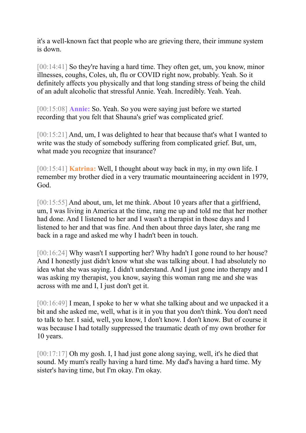it's a well-known fact that people who are grieving there, their immune system is down.

[00:14:41] So they're having a hard time. They often get, um, you know, minor illnesses, coughs, Coles, uh, flu or COVID right now, probably. Yeah. So it definitely affects you physically and that long standing stress of being the child of an adult alcoholic that stressful Annie. Yeah. Incredibly. Yeah. Yeah.

[00:15:08] **Annie:** So. Yeah. So you were saying just before we started recording that you felt that Shauna's grief was complicated grief.

[00:15:21] And, um, I was delighted to hear that because that's what I wanted to write was the study of somebody suffering from complicated grief. But, um, what made you recognize that insurance?

[00:15:41] **Katrina:** Well, I thought about way back in my, in my own life. I remember my brother died in a very traumatic mountaineering accident in 1979, God.

[00:15:55] And about, um, let me think. About 10 years after that a girlfriend, um, I was living in America at the time, rang me up and told me that her mother had done. And I listened to her and I wasn't a therapist in those days and I listened to her and that was fine. And then about three days later, she rang me back in a rage and asked me why I hadn't been in touch.

[00:16:24] Why wasn't I supporting her? Why hadn't I gone round to her house? And I honestly just didn't know what she was talking about. I had absolutely no idea what she was saying. I didn't understand. And I just gone into therapy and I was asking my therapist, you know, saying this woman rang me and she was across with me and I, I just don't get it.

[00:16:49] I mean, I spoke to her w what she talking about and we unpacked it a bit and she asked me, well, what is it in you that you don't think. You don't need to talk to her. I said, well, you know, I don't know. I don't know. But of course it was because I had totally suppressed the traumatic death of my own brother for 10 years.

[00:17:17] Oh my gosh. I, I had just gone along saying, well, it's he died that sound. My mum's really having a hard time. My dad's having a hard time. My sister's having time, but I'm okay. I'm okay.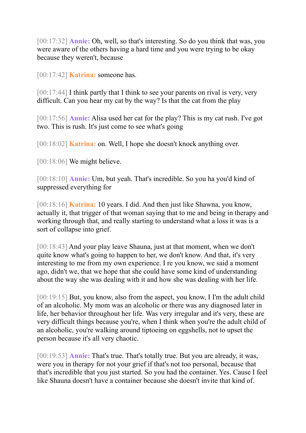[00:17:32] **Annie:** Oh, well, so that's interesting. So do you think that was, you were aware of the others having a hard time and you were trying to be okay because they weren't, because

[00:17:42] **Katrina:** someone has.

 $[00:17:44]$  I think partly that I think to see your parents on rival is very, very difficult. Can you hear my cat by the way? Is that the cat from the play

[00:17:56] **Annie:** Alisa used her cat for the play? This is my cat rush. I've got two. This is rush. It's just come to see what's going

[00:18:02] **Katrina:** on. Well, I hope she doesn't knock anything over.

[00:18:06] We might believe.

[00:18:10] **Annie:** Um, but yeah. That's incredible. So you ha you'd kind of suppressed everything for

[00:18:16] **Katrina:** 10 years. I did. And then just like Shawna, you know, actually it, that trigger of that woman saying that to me and being in therapy and working through that, and really starting to understand what a loss it was is a sort of collapse into grief.

[00:18:43] And your play leave Shauna, just at that moment, when we don't quite know what's going to happen to her, we don't know. And that, it's very interesting to me from my own experience. I re you know, we said a moment ago, didn't we, that we hope that she could have some kind of understanding about the way she was dealing with it and how she was dealing with her life.

[00:19:15] But, you know, also from the aspect, you know, I I'm the adult child of an alcoholic. My mom was an alcoholic or there was any diagnosed later in life, her behavior throughout her life. Was very irregular and it's very, these are very difficult things because you're, when I think when you're the adult child of an alcoholic, you're walking around tiptoeing on eggshells, not to upset the person because it's all very chaotic.

[00:19:53] **Annie:** That's true. That's totally true. But you are already, it was, were you in therapy for not your grief if that's not too personal, because that that's incredible that you just started. So you had the container. Yes. Cause I feel like Shauna doesn't have a container because she doesn't invite that kind of.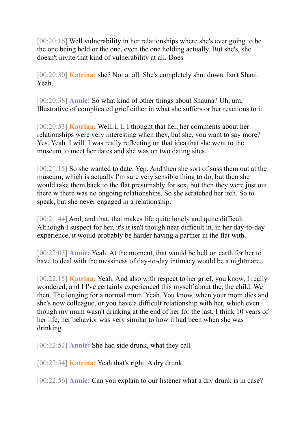[00:20:16] Well vulnerability in her relationships where she's ever going to be the one being held or the one, even the one holding actually. But she's, she doesn't invite that kind of vulnerability at all. Does

[00:20:30] **Katrina:** she? Not at all. She's completely shut down. Isn't Shani. Yeah.

[00:20:38] **Annie:** So what kind of other things about Shauna? Uh, um, Illustrative of complicated grief either in what she suffers or her reactions to it.

[00:20:53] **Katrina:** Well, I, I, I thought that her, her comments about her relationships were very interesting when they, but she, you want to say more? Yes. Yeah. I will. I was really reflecting on that idea that she went to the museum to meet her dates and she was on two dating sites.

[00:21:15] So she wanted to date. Yep. And then she sort of suss them out at the museum, which is actually I'm sure very sensible thing to do, but then she would take them back to the flat presumably for sex, but then they were just out there w there was no ongoing relationships. So she scratched her itch. So to speak, but she never engaged in a relationship.

[00:21:44] And, and that, that makes life quite lonely and quite difficult. Although I suspect for her, it's it isn't though near difficult in, in her day-to-day experience, it would probably be harder having a partner in the flat with.

[00:22:03] **Annie:** Yeah. At the moment, that would be hell on earth for her to have to deal with the messiness of day-to-day intimacy would be a nightmare.

[00:22:15] **Katrina:** Yeah. And also with respect to her grief, you know, I really wondered, and I I've certainly experienced this myself about the, the child. We then. The longing for a normal mum. Yeah. You know, when your mom dies and she's now colleague, or you have a difficult relationship with her, which even though my mum wasn't drinking at the end of her for the last, I think 10 years of her life, her behavior was very similar to how it had been when she was drinking.

[00:22:52] **Annie:** She had side drunk, what they call

[00:22:54] **Katrina:** Yeah that's right. A dry drunk.

[00:22:56] **Annie:** Can you explain to our listener what a dry drunk is in case?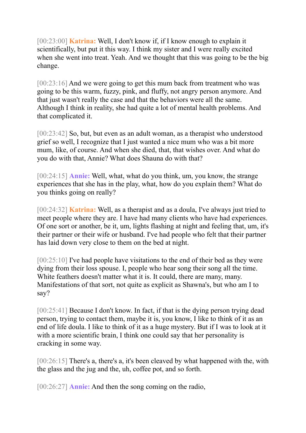[00:23:00] **Katrina:** Well, I don't know if, if I know enough to explain it scientifically, but put it this way. I think my sister and I were really excited when she went into treat. Yeah. And we thought that this was going to be the big change.

[00:23:16] And we were going to get this mum back from treatment who was going to be this warm, fuzzy, pink, and fluffy, not angry person anymore. And that just wasn't really the case and that the behaviors were all the same. Although I think in reality, she had quite a lot of mental health problems. And that complicated it.

[00:23:42] So, but, but even as an adult woman, as a therapist who understood grief so well, I recognize that I just wanted a nice mum who was a bit more mum, like, of course. And when she died, that, that wishes over. And what do you do with that, Annie? What does Shauna do with that?

[00:24:15] **Annie:** Well, what, what do you think, um, you know, the strange experiences that she has in the play, what, how do you explain them? What do you thinks going on really?

[00:24:32] **Katrina:** Well, as a therapist and as a doula, I've always just tried to meet people where they are. I have had many clients who have had experiences. Of one sort or another, be it, um, lights flashing at night and feeling that, um, it's their partner or their wife or husband. I've had people who felt that their partner has laid down very close to them on the bed at night.

[00:25:10] I've had people have visitations to the end of their bed as they were dying from their loss spouse. I, people who hear song their song all the time. White feathers doesn't matter what it is. It could, there are many, many. Manifestations of that sort, not quite as explicit as Shawna's, but who am I to say?

[00:25:41] Because I don't know. In fact, if that is the dying person trying dead person, trying to contact them, maybe it is, you know, I like to think of it as an end of life doula. I like to think of it as a huge mystery. But if I was to look at it with a more scientific brain, I think one could say that her personality is cracking in some way.

[00:26:15] There's a, there's a, it's been cleaved by what happened with the, with the glass and the jug and the, uh, coffee pot, and so forth.

[00:26:27] **Annie:** And then the song coming on the radio,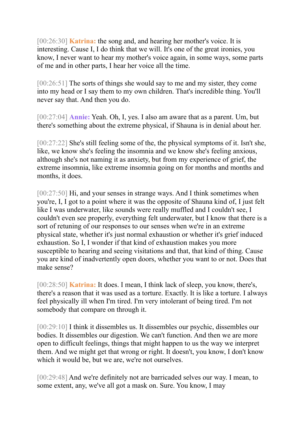[00:26:30] **Katrina:** the song and, and hearing her mother's voice. It is interesting. Cause I, I do think that we will. It's one of the great ironies, you know, I never want to hear my mother's voice again, in some ways, some parts of me and in other parts, I hear her voice all the time.

[00:26:51] The sorts of things she would say to me and my sister, they come into my head or I say them to my own children. That's incredible thing. You'll never say that. And then you do.

[00:27:04] **Annie:** Yeah. Oh, I, yes. I also am aware that as a parent. Um, but there's something about the extreme physical, if Shauna is in denial about her.

[00:27:22] She's still feeling some of the, the physical symptoms of it. Isn't she, like, we know she's feeling the insomnia and we know she's feeling anxious, although she's not naming it as anxiety, but from my experience of grief, the extreme insomnia, like extreme insomnia going on for months and months and months, it does.

[00:27:50] Hi, and your senses in strange ways. And I think sometimes when you're, I, I got to a point where it was the opposite of Shauna kind of, I just felt like I was underwater, like sounds were really muffled and I couldn't see, I couldn't even see properly, everything felt underwater, but I know that there is a sort of retuning of our responses to our senses when we're in an extreme physical state, whether it's just normal exhaustion or whether it's grief induced exhaustion. So I, I wonder if that kind of exhaustion makes you more susceptible to hearing and seeing visitations and that, that kind of thing. Cause you are kind of inadvertently open doors, whether you want to or not. Does that make sense?

[00:28:50] **Katrina:** It does. I mean, I think lack of sleep, you know, there's, there's a reason that it was used as a torture. Exactly. It is like a torture. I always feel physically ill when I'm tired. I'm very intolerant of being tired. I'm not somebody that compare on through it.

[00:29:10] I think it dissembles us. It dissembles our psychic, dissembles our bodies. It dissembles our digestion. We can't function. And then we are more open to difficult feelings, things that might happen to us the way we interpret them. And we might get that wrong or right. It doesn't, you know, I don't know which it would be, but we are, we're not ourselves.

[00:29:48] And we're definitely not are barricaded selves our way. I mean, to some extent, any, we've all got a mask on. Sure. You know, I may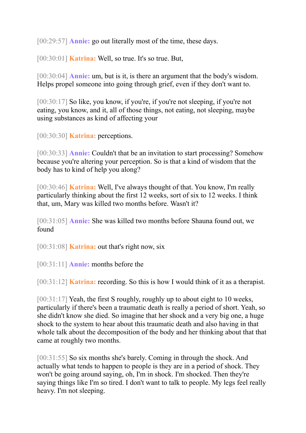[00:29:57] **Annie:** go out literally most of the time, these days.

[00:30:01] **Katrina:** Well, so true. It's so true. But,

[00:30:04] **Annie:** um, but is it, is there an argument that the body's wisdom. Helps propel someone into going through grief, even if they don't want to.

[00:30:17] So like, you know, if you're, if you're not sleeping, if you're not eating, you know, and it, all of those things, not eating, not sleeping, maybe using substances as kind of affecting your

[00:30:30] **Katrina:** perceptions.

[00:30:33] **Annie:** Couldn't that be an invitation to start processing? Somehow because you're altering your perception. So is that a kind of wisdom that the body has to kind of help you along?

[00:30:46] **Katrina:** Well, I've always thought of that. You know, I'm really particularly thinking about the first 12 weeks, sort of six to 12 weeks. I think that, um, Mary was killed two months before. Wasn't it?

[00:31:05] **Annie:** She was killed two months before Shauna found out, we found

[00:31:08] **Katrina:** out that's right now, six

[00:31:11] **Annie:** months before the

[00:31:12] **Katrina:** recording. So this is how I would think of it as a therapist.

[00:31:17] Yeah, the first S roughly, roughly up to about eight to 10 weeks, particularly if there's been a traumatic death is really a period of short. Yeah, so she didn't know she died. So imagine that her shock and a very big one, a huge shock to the system to hear about this traumatic death and also having in that whole talk about the decomposition of the body and her thinking about that that came at roughly two months.

[00:31:55] So six months she's barely. Coming in through the shock. And actually what tends to happen to people is they are in a period of shock. They won't be going around saying, oh, I'm in shock. I'm shocked. Then they're saying things like I'm so tired. I don't want to talk to people. My legs feel really heavy. I'm not sleeping.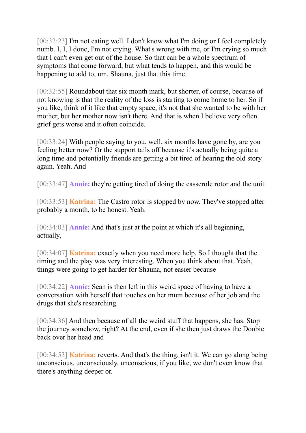[00:32:23] I'm not eating well. I don't know what I'm doing or I feel completely numb. I, I, I done, I'm not crying. What's wrong with me, or I'm crying so much that I can't even get out of the house. So that can be a whole spectrum of symptoms that come forward, but what tends to happen, and this would be happening to add to, um, Shauna, just that this time.

[00:32:55] Roundabout that six month mark, but shorter, of course, because of not knowing is that the reality of the loss is starting to come home to her. So if you like, think of it like that empty space, it's not that she wanted to be with her mother, but her mother now isn't there. And that is when I believe very often grief gets worse and it often coincide.

[00:33:24] With people saying to you, well, six months have gone by, are you feeling better now? Or the support tails off because it's actually being quite a long time and potentially friends are getting a bit tired of hearing the old story again. Yeah. And

[00:33:47] **Annie:** they're getting tired of doing the casserole rotor and the unit.

[00:33:53] **Katrina:** The Castro rotor is stopped by now. They've stopped after probably a month, to be honest. Yeah.

[00:34:03] **Annie:** And that's just at the point at which it's all beginning, actually,

[00:34:07] **Katrina:** exactly when you need more help. So I thought that the timing and the play was very interesting. When you think about that. Yeah, things were going to get harder for Shauna, not easier because

[00:34:22] **Annie:** Sean is then left in this weird space of having to have a conversation with herself that touches on her mum because of her job and the drugs that she's researching.

[00:34:36] And then because of all the weird stuff that happens, she has. Stop the journey somehow, right? At the end, even if she then just draws the Doobie back over her head and

[00:34:53] **Katrina:** reverts. And that's the thing, isn't it. We can go along being unconscious, unconsciously, unconscious, if you like, we don't even know that there's anything deeper or.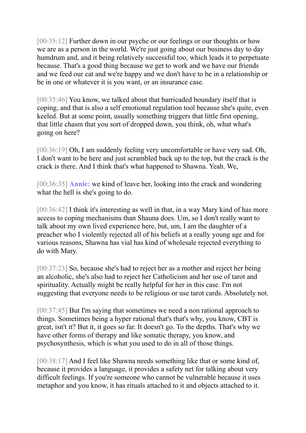[00:35:12] Further down in our psyche or our feelings or our thoughts or how we are as a person in the world. We're just going about our business day to day humdrum and, and it being relatively successful too, which leads it to perpetuate because. That's a good thing because we get to work and we have our friends and we feed our cat and we're happy and we don't have to be in a relationship or be in one or whatever it is you want, or an insurance case.

[00:35:46] You know, we talked about that barricaded boundary itself that is coping, and that is also a self emotional regulation tool because she's quite, even keeled. But at some point, usually something triggers that little first opening, that little chasm that you sort of dropped down, you think, oh, what what's going on here?

[00:36:19] Oh, I am suddenly feeling very uncomfortable or have very sad. Oh, I don't want to be here and just scrambled back up to the top, but the crack is the crack is there. And I think that's what happened to Shawna. Yeah. We,

[00:36:35] **Annie:** we kind of leave her, looking into the crack and wondering what the hell is she's going to do.

[00:36:42] I think it's interesting as well in that, in a way Mary kind of has more access to coping mechanisms than Shauna does. Um, so I don't really want to talk about my own lived experience here, but, um, I am the daughter of a preacher who I violently rejected all of his beliefs at a really young age and for various reasons, Shawna has vial has kind of wholesale rejected everything to do with Mary.

[00:37:23] So, because she's had to reject her as a mother and reject her being an alcoholic, she's also had to reject her Catholicism and her use of tarot and spirituality. Actually might be really helpful for her in this case. I'm not suggesting that everyone needs to be religious or use tarot cards. Absolutely not.

[00:37:45] But I'm saying that sometimes we need a non rational approach to things. Sometimes being a hyper rational that's that's why, you know, CBT is great, isn't it? But it, it goes so far. It doesn't go. To the depths. That's why we have other forms of therapy and like somatic therapy, you know, and psychosynthesis, which is what you used to do in all of those things.

[00:38:17] And I feel like Shawna needs something like that or some kind of, because it provides a language, it provides a safety net for talking about very difficult feelings. If you're someone who cannot be vulnerable because it uses metaphor and you know, it has rituals attached to it and objects attached to it.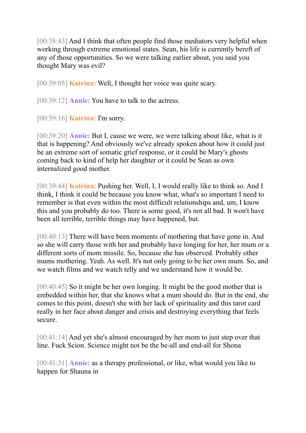[00:38:43] And I think that often people find those mediators very helpful when working through extreme emotional states. Sean, his life is currently bereft of any of those opportunities. So we were talking earlier about, you said you thought Mary was evil?

[00:39:05] **Katrina:** Well, I thought her voice was quite scary.

[00:39:12] **Annie:** You have to talk to the actress.

[00:39:16] **Katrina:** I'm sorry.

[00:39:20] **Annie:** But I, cause we were, we were talking about like, what is it that is happening? And obviously we've already spoken about how it could just be an extreme sort of somatic grief response, or it could be Mary's ghosts coming back to kind of help her daughter or it could be Sean as own internalized good mother.

[00:39:44] **Katrina:** Pushing her. Well, I, I would really like to think so. And I think, I think it could be because you know what, what's so important I need to remember is that even within the most difficult relationships and, um, I know this and you probably do too. There is some good, it's not all bad. It won't have been all terrible, terrible things may have happened, but.

[00:40:13] There will have been moments of mothering that have gone in. And so she will carry those with her and probably have longing for her, her mum or a different sorts of mom missile. So, because she has observed. Probably other mums mothering. Yeah. As well. It's not only going to be her own mum. So, and we watch films and we watch telly and we understand how it would be.

[00:40:45] So it might be her own longing. It might be the good mother that is embedded within her, that she knows what a mum should do. But in the end, she comes to this point, doesn't she with her lack of spirituality and this tarot card really in her face about danger and crisis and destroying everything that feels secure.

[00:41:14] And yet she's almost encouraged by her mom to just step over that line. Fuck Scion. Science might not be the be-all and end-all for Shona

[00:41:31] **Annie:** as a therapy professional, or like, what would you like to happen for Shauna in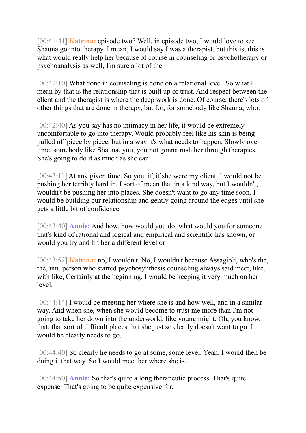[00:41:41] **Katrina:** episode two? Well, in episode two, I would love to see Shauna go into therapy. I mean, I would say I was a therapist, but this is, this is what would really help her because of course in counseling or psychotherapy or psychoanalysis as well, I'm sure a lot of the.

[00:42:10] What done in counseling is done on a relational level. So what I mean by that is the relationship that is built up of trust. And respect between the client and the therapist is where the deep work is done. Of course, there's lots of other things that are done in therapy, but for, for somebody like Shauna, who.

[00:42:40] As you say has no intimacy in her life, it would be extremely uncomfortable to go into therapy. Would probably feel like his skin is being pulled off piece by piece, but in a way it's what needs to happen. Slowly over time, somebody like Shauna, you, you not gonna rush her through therapies. She's going to do it as much as she can.

[00:43:11] At any given time. So you, if, if she were my client, I would not be pushing her terribly hard in, I sort of mean that in a kind way, but I wouldn't, wouldn't be pushing her into places. She doesn't want to go any time soon. I would be building our relationship and gently going around the edges until she gets a little bit of confidence.

[00:43:40] **Annie:** And how, how would you do, what would you for someone that's kind of rational and logical and empirical and scientific has shown, or would you try and hit her a different level or

[00:43:52] **Katrina:** no, I wouldn't. No, I wouldn't because Assagioli, who's the, the, um, person who started psychosynthesis counseling always said meet, like, with like, Certainly at the beginning, I would be keeping it very much on her level.

[00:44:14] I would be meeting her where she is and how well, and in a similar way. And when she, when she would become to trust me more than I'm not going to take her down into the underworld, like young might. Oh, you know, that, that sort of difficult places that she just so clearly doesn't want to go. I would be clearly needs to go.

[00:44:40] So clearly he needs to go at some, some level. Yeah. I would then be doing it that way. So I would meet her where she is.

[00:44:50] **Annie:** So that's quite a long therapeutic process. That's quite expense. That's going to be quite expensive for.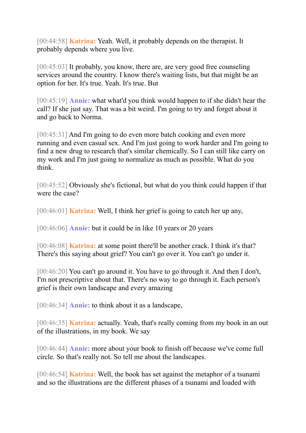[00:44:58] **Katrina:** Yeah. Well, it probably depends on the therapist. It probably depends where you live.

[00:45:03] It probably, you know, there are, are very good free counseling services around the country. I know there's waiting lists, but that might be an option for her. It's true. Yeah. It's true. But

[00:45:19] **Annie:** what what'd you think would happen to if she didn't hear the call? If she just say. That was a bit weird. I'm going to try and forget about it and go back to Norma.

[00:45:31] And I'm going to do even more batch cooking and even more running and even casual sex. And I'm just going to work harder and I'm going to find a new drug to research that's similar chemically. So I can still like carry on my work and I'm just going to normalize as much as possible. What do you think.

[00:45:52] Obviously she's fictional, but what do you think could happen if that were the case?

[00:46:01] **Katrina:** Well, I think her grief is going to catch her up any,

[00:46:06] **Annie:** but it could be in like 10 years or 20 years

[00:46:08] **Katrina:** at some point there'll be another crack. I think it's that? There's this saying about grief? You can't go over it. You can't go under it.

[00:46:20] You can't go around it. You have to go through it. And then I don't, I'm not prescriptive about that. There's no way to go through it. Each person's grief is their own landscape and every amazing

[00:46:34] **Annie:** to think about it as a landscape,

[00:46:35] **Katrina:** actually. Yeah, that's really coming from my book in an out of the illustrations, in my book. We say

[00:46:44] **Annie:** more about your book to finish off because we've come full circle. So that's really not. So tell me about the landscapes.

[00:46:54] **Katrina:** Well, the book has set against the metaphor of a tsunami and so the illustrations are the different phases of a tsunami and loaded with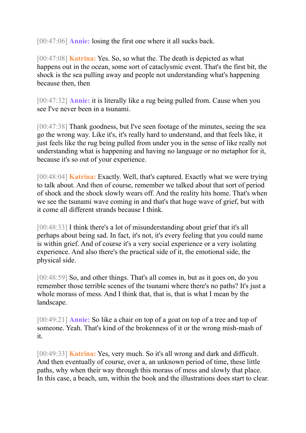[00:47:06] **Annie:** losing the first one where it all sucks back.

[00:47:08] **Katrina:** Yes. So, so what the. The death is depicted as what happens out in the ocean, some sort of cataclysmic event. That's the first bit, the shock is the sea pulling away and people not understanding what's happening because then, then

[00:47:32] **Annie:** it is literally like a rug being pulled from. Cause when you see I've never been in a tsunami.

[00:47:38] Thank goodness, but I've seen footage of the minutes, seeing the sea go the wrong way. Like it's, it's really hard to understand, and that feels like, it just feels like the rug being pulled from under you in the sense of like really not understanding what is happening and having no language or no metaphor for it, because it's so out of your experience.

[00:48:04] **Katrina:** Exactly. Well, that's captured. Exactly what we were trying to talk about. And then of course, remember we talked about that sort of period of shock and the shock slowly wears off. And the reality hits home. That's when we see the tsunami wave coming in and that's that huge wave of grief, but with it come all different strands because I think.

[00:48:33] I think there's a lot of misunderstanding about grief that it's all perhaps about being sad. In fact, it's not, it's every feeling that you could name is within grief. And of course it's a very social experience or a very isolating experience. And also there's the practical side of it, the emotional side, the physical side.

[00:48:59] So, and other things. That's all comes in, but as it goes on, do you remember those terrible scenes of the tsunami where there's no paths? It's just a whole morass of mess. And I think that, that is, that is what I mean by the landscape.

[00:49:21] **Annie:** So like a chair on top of a goat on top of a tree and top of someone. Yeah. That's kind of the brokenness of it or the wrong mish-mash of it.

[00:49:33] **Katrina:** Yes, very much. So it's all wrong and dark and difficult. And then eventually of course, over a, an unknown period of time, these little paths, why when their way through this morass of mess and slowly that place. In this case, a beach, um, within the book and the illustrations does start to clear.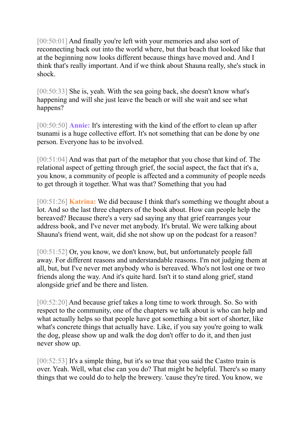[00:50:01] And finally you're left with your memories and also sort of reconnecting back out into the world where, but that beach that looked like that at the beginning now looks different because things have moved and. And I think that's really important. And if we think about Shauna really, she's stuck in shock.

[00:50:33] She is, yeah. With the sea going back, she doesn't know what's happening and will she just leave the beach or will she wait and see what happens?

[00:50:50] **Annie:** It's interesting with the kind of the effort to clean up after tsunami is a huge collective effort. It's not something that can be done by one person. Everyone has to be involved.

[00:51:04] And was that part of the metaphor that you chose that kind of. The relational aspect of getting through grief, the social aspect, the fact that it's a, you know, a community of people is affected and a community of people needs to get through it together. What was that? Something that you had

[00:51:26] **Katrina:** We did because I think that's something we thought about a lot. And so the last three chapters of the book about. How can people help the bereaved? Because there's a very sad saying any that grief rearranges your address book, and I've never met anybody. It's brutal. We were talking about Shauna's friend went, wait, did she not show up on the podcast for a reason?

[00:51:52] Or, you know, we don't know, but, but unfortunately people fall away. For different reasons and understandable reasons. I'm not judging them at all, but, but I've never met anybody who is bereaved. Who's not lost one or two friends along the way. And it's quite hard. Isn't it to stand along grief, stand alongside grief and be there and listen.

[00:52:20] And because grief takes a long time to work through. So. So with respect to the community, one of the chapters we talk about is who can help and what actually helps so that people have got something a bit sort of shorter, like what's concrete things that actually have. Like, if you say you're going to walk the dog, please show up and walk the dog don't offer to do it, and then just never show up.

[00:52:53] It's a simple thing, but it's so true that you said the Castro train is over. Yeah. Well, what else can you do? That might be helpful. There's so many things that we could do to help the brewery. 'cause they're tired. You know, we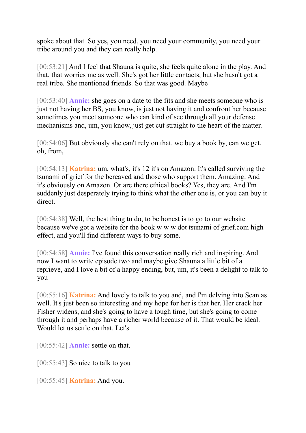spoke about that. So yes, you need, you need your community, you need your tribe around you and they can really help.

[00:53:21] And I feel that Shauna is quite, she feels quite alone in the play. And that, that worries me as well. She's got her little contacts, but she hasn't got a real tribe. She mentioned friends. So that was good. Maybe

[00:53:40] **Annie:** she goes on a date to the fits and she meets someone who is just not having her BS, you know, is just not having it and confront her because sometimes you meet someone who can kind of see through all your defense mechanisms and, um, you know, just get cut straight to the heart of the matter.

[00:54:06] But obviously she can't rely on that. we buy a book by, can we get, oh, from,

[00:54:13] **Katrina:** um, what's, it's 12 it's on Amazon. It's called surviving the tsunami of grief for the bereaved and those who support them. Amazing. And it's obviously on Amazon. Or are there ethical books? Yes, they are. And I'm suddenly just desperately trying to think what the other one is, or you can buy it direct.

[00:54:38] Well, the best thing to do, to be honest is to go to our website because we've got a website for the book w w w dot tsunami of grief.com high effect, and you'll find different ways to buy some.

[00:54:58] **Annie:** I've found this conversation really rich and inspiring. And now I want to write episode two and maybe give Shauna a little bit of a reprieve, and I love a bit of a happy ending, but, um, it's been a delight to talk to you

[00:55:16] **Katrina:** And lovely to talk to you and, and I'm delving into Sean as well. It's just been so interesting and my hope for her is that her. Her crack her Fisher widens, and she's going to have a tough time, but she's going to come through it and perhaps have a richer world because of it. That would be ideal. Would let us settle on that. Let's

[00:55:42] **Annie:** settle on that.

[00:55:43] So nice to talk to you

[00:55:45] **Katrina:** And you.